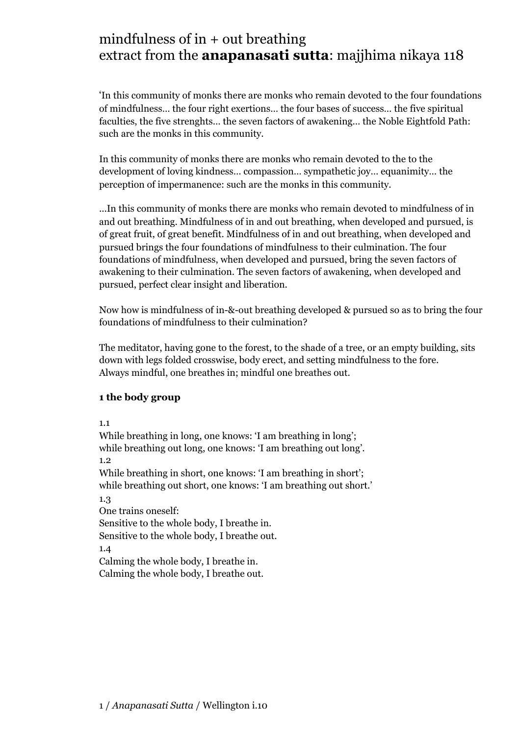# mindfulness of in  $+$  out breathing extract from the **anapanasati sutta**: majjhima nikaya 118

'In this community of monks there are monks who remain devoted to the four foundations of mindfulness… the four right exertions… the four bases of success… the five spiritual faculties, the five strenghts… the seven factors of awakening… the Noble Eightfold Path: such are the monks in this community.

In this community of monks there are monks who remain devoted to the to the development of loving kindness… compassion… sympathetic joy… equanimity… the perception of impermanence: such are the monks in this community.

...In this community of monks there are monks who remain devoted to mindfulness of in and out breathing. Mindfulness of in and out breathing, when developed and pursued, is of great fruit, of great benefit. Mindfulness of in and out breathing, when developed and pursued brings the four foundations of mindfulness to their culmination. The four foundations of mindfulness, when developed and pursued, bring the seven factors of awakening to their culmination. The seven factors of awakening, when developed and pursued, perfect clear insight and liberation.

Now how is mindfulness of in-&-out breathing developed & pursued so as to bring the four foundations of mindfulness to their culmination?

The meditator, having gone to the forest, to the shade of a tree, or an empty building, sits down with legs folded crosswise, body erect, and setting mindfulness to the fore. Always mindful, one breathes in; mindful one breathes out.

#### **1 the body group**

#### 1.1

While breathing in long, one knows: 'I am breathing in long'; while breathing out long, one knows: 'I am breathing out long'. 1.2 While breathing in short, one knows: 'I am breathing in short'; while breathing out short, one knows: 'I am breathing out short.' 1.3 One trains oneself: Sensitive to the whole body, I breathe in. Sensitive to the whole body, I breathe out. 1.4 Calming the whole body, I breathe in.

Calming the whole body, I breathe out.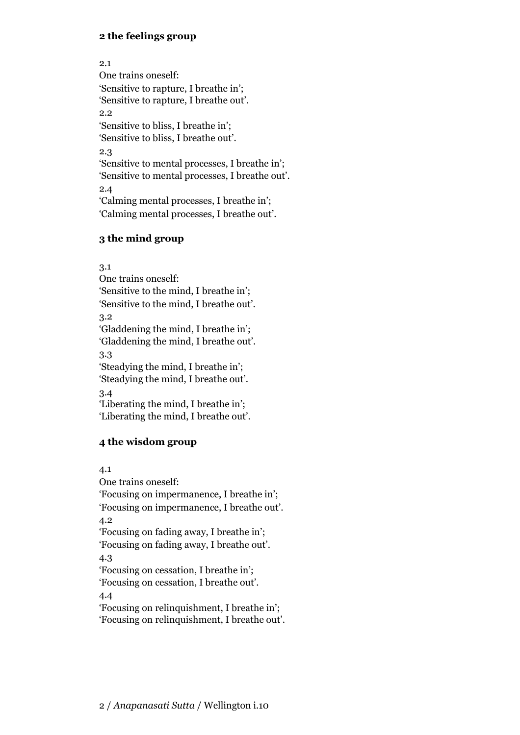### **2 the feelings group**

2.1 One trains oneself: 'Sensitive to rapture, I breathe in'; 'Sensitive to rapture, I breathe out'. 2.2 'Sensitive to bliss, I breathe in'; 'Sensitive to bliss, I breathe out'. 2.3 'Sensitive to mental processes, I breathe in'; 'Sensitive to mental processes, I breathe out'. 2.4 'Calming mental processes, I breathe in'; 'Calming mental processes, I breathe out'.

#### **3 the mind group**

3.1

One trains oneself: 'Sensitive to the mind, I breathe in'; 'Sensitive to the mind, I breathe out'. 3.2 'Gladdening the mind, I breathe in'; 'Gladdening the mind, I breathe out'. 3.3 'Steadying the mind, I breathe in'; 'Steadying the mind, I breathe out'. 3.4 'Liberating the mind, I breathe in'; 'Liberating the mind, I breathe out'.

### **4 the wisdom group**

4.1

One trains oneself: 'Focusing on impermanence, I breathe in'; 'Focusing on impermanence, I breathe out'. 4.2 'Focusing on fading away, I breathe in'; 'Focusing on fading away, I breathe out'. 4.3 'Focusing on cessation, I breathe in'; 'Focusing on cessation, I breathe out'. 4.4 'Focusing on relinquishment, I breathe in';

'Focusing on relinquishment, I breathe out'.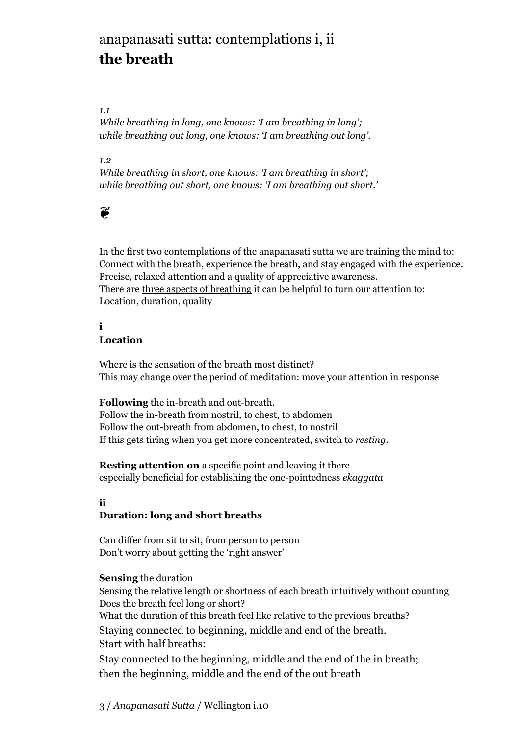# anapanasati sutta: contemplations i, ii **the breath**

#### *1.1*

*While breathing in long, one knows: 'I am breathing in long'; while breathing out long, one knows: 'I am breathing out long'.*

#### *1.2*

*While breathing in short, one knows: 'I am breathing in short'; while breathing out short, one knows: 'I am breathing out short.'*

## $\mathbf{r}$

In the first two contemplations of the anapanasati sutta we are training the mind to: Connect with the breath, experience the breath, and stay engaged with the experience. Precise, relaxed attention and a quality of appreciative awareness. There are three aspects of breathing it can be helpful to turn our attention to: Location, duration, quality

#### **i Location**

Where is the sensation of the breath most distinct? This may change over the period of meditation: move your attention in response

**Following** the in-breath and out-breath. Follow the in-breath from nostril, to chest, to abdomen Follow the out-breath from abdomen, to chest, to nostril If this gets tiring when you get more concentrated, switch to *resting*.

**Resting attention on** a specific point and leaving it there especially beneficial for establishing the one-pointedness *ekaggata*

#### **ii Duration: long and short breaths**

Can differ from sit to sit, from person to person Don't worry about getting the 'right answer'

### **Sensing** the duration

Sensing the relative length or shortness of each breath intuitively without counting Does the breath feel long or short? What the duration of this breath feel like relative to the previous breaths? Staying connected to beginning, middle and end of the breath. Start with half breaths: Stay connected to the beginning, middle and the end of the in breath; then the beginning, middle and the end of the out breath

## 3 / *Anapanasati Sutta* / Wellington i.10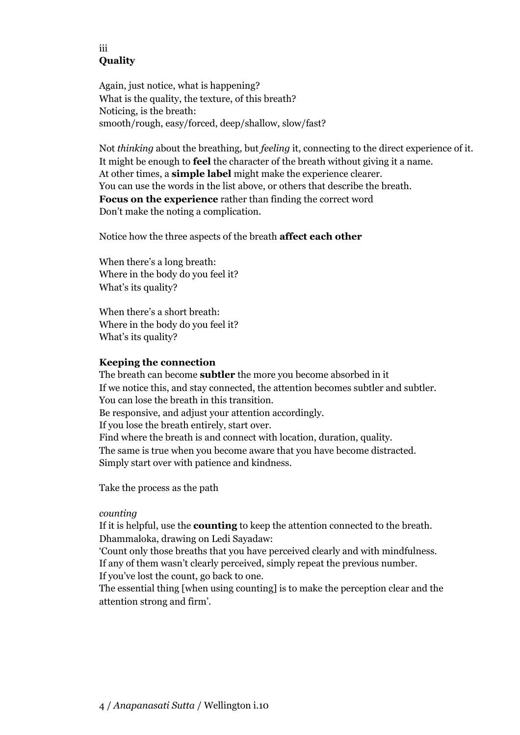### iii **Quality**

Again, just notice, what is happening? What is the quality, the texture, of this breath? Noticing, is the breath: smooth/rough, easy/forced, deep/shallow, slow/fast?

Not *thinking* about the breathing, but *feeling* it, connecting to the direct experience of it. It might be enough to **feel** the character of the breath without giving it a name. At other times, a **simple label** might make the experience clearer. You can use the words in the list above, or others that describe the breath. **Focus on the experience** rather than finding the correct word Don't make the noting a complication.

Notice how the three aspects of the breath **affect each other**

When there's a long breath: Where in the body do you feel it? What's its quality?

When there's a short breath: Where in the body do you feel it? What's its quality?

#### **Keeping the connection**

The breath can become **subtler** the more you become absorbed in it If we notice this, and stay connected, the attention becomes subtler and subtler. You can lose the breath in this transition. Be responsive, and adjust your attention accordingly. If you lose the breath entirely, start over. Find where the breath is and connect with location, duration, quality. The same is true when you become aware that you have become distracted. Simply start over with patience and kindness.

Take the process as the path

#### *counting*

If it is helpful, use the **counting** to keep the attention connected to the breath. Dhammaloka, drawing on Ledi Sayadaw:

'Count only those breaths that you have perceived clearly and with mindfulness. If any of them wasn't clearly perceived, simply repeat the previous number.

If you've lost the count, go back to one.

The essential thing [when using counting] is to make the perception clear and the attention strong and firm'.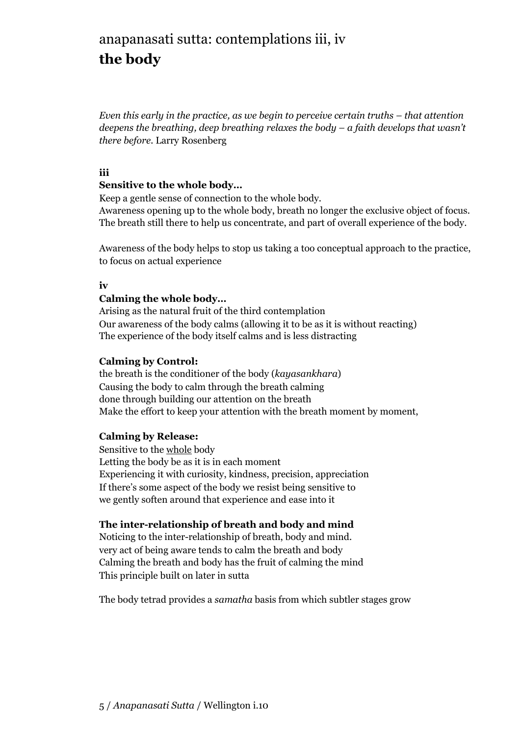# anapanasati sutta: contemplations iii, iv **the body**

*Even this early in the practice, as we begin to perceive certain truths – that attention deepens the breathing, deep breathing relaxes the body – a faith develops that wasn't there before.* Larry Rosenberg

#### **iii**

#### **Sensitive to the whole body…**

Keep a gentle sense of connection to the whole body.

Awareness opening up to the whole body, breath no longer the exclusive object of focus. The breath still there to help us concentrate, and part of overall experience of the body.

Awareness of the body helps to stop us taking a too conceptual approach to the practice, to focus on actual experience

#### **iv**

#### **Calming the whole body…**

Arising as the natural fruit of the third contemplation Our awareness of the body calms (allowing it to be as it is without reacting) The experience of the body itself calms and is less distracting

#### **Calming by Control:**

the breath is the conditioner of the body (*kayasankhara*) Causing the body to calm through the breath calming done through building our attention on the breath Make the effort to keep your attention with the breath moment by moment,

#### **Calming by Release:**

Sensitive to the whole body Letting the body be as it is in each moment Experiencing it with curiosity, kindness, precision, appreciation If there's some aspect of the body we resist being sensitive to we gently soften around that experience and ease into it

#### **The inter-relationship of breath and body and mind**

Noticing to the inter-relationship of breath, body and mind. very act of being aware tends to calm the breath and body Calming the breath and body has the fruit of calming the mind This principle built on later in sutta

The body tetrad provides a *samatha* basis from which subtler stages grow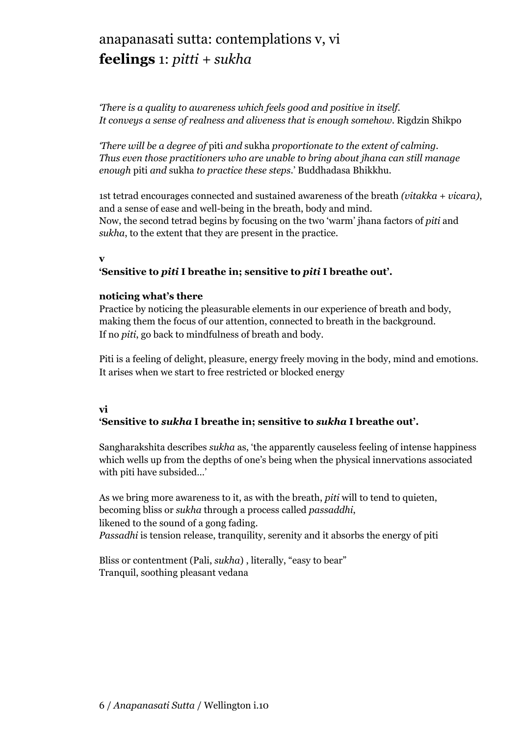# anapanasati sutta: contemplations v, vi **feelings** 1: *pitti + sukha*

*'There is a quality to awareness which feels good and positive in itself. It conveys a sense of realness and aliveness that is enough somehow.* Rigdzin Shikpo

*'There will be a degree of* piti *and* sukha *proportionate to the extent of calming. Thus even those practitioners who are unable to bring about jhana can still manage enough* piti *and* sukha *to practice these steps*.' Buddhadasa Bhikkhu.

1st tetrad encourages connected and sustained awareness of the breath *(vitakka + vicara)*, and a sense of ease and well-being in the breath, body and mind. Now, the second tetrad begins by focusing on the two 'warm' jhana factors of *piti* and *sukha*, to the extent that they are present in the practice.

#### **v**

### **'Sensitive to** *piti* **I breathe in; sensitive to** *piti* **I breathe out'.**

#### **noticing what's there**

Practice by noticing the pleasurable elements in our experience of breath and body, making them the focus of our attention, connected to breath in the background. If no *piti*, go back to mindfulness of breath and body.

Piti is a feeling of delight, pleasure, energy freely moving in the body, mind and emotions. It arises when we start to free restricted or blocked energy

### **vi**

## **'Sensitive to** *sukha* **I breathe in; sensitive to** *sukha* **I breathe out'.**

Sangharakshita describes *sukha* as, 'the apparently causeless feeling of intense happiness which wells up from the depths of one's being when the physical innervations associated with piti have subsided…'

As we bring more awareness to it, as with the breath, *piti* will to tend to quieten, becoming bliss or *sukha* through a process called *passaddhi*, likened to the sound of a gong fading. *Passadhi* is tension release, tranquility, serenity and it absorbs the energy of piti

Bliss or contentment (Pali, *sukha*) , literally, "easy to bear" Tranquil, soothing pleasant vedana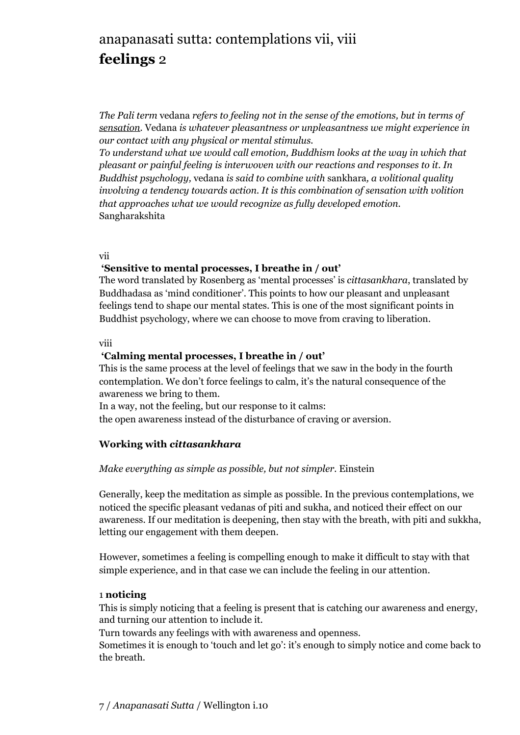# anapanasati sutta: contemplations vii, viii **feelings** 2

*The Pali term* vedana *refers to feeling not in the sense of the emotions, but in terms of sensation.* Vedana *is whatever pleasantness or unpleasantness we might experience in our contact with any physical or mental stimulus.* 

*To understand what we would call emotion, Buddhism looks at the way in which that pleasant or painful feeling is interwoven with our reactions and responses to it. In Buddhist psychology,* vedana *is said to combine with* sankhara*, a volitional quality involving a tendency towards action. It is this combination of sensation with volition that approaches what we would recognize as fully developed emotion.* Sangharakshita

vii

#### **'Sensitive to mental processes, I breathe in / out'**

The word translated by Rosenberg as 'mental processes' is *cittasankhara*, translated by Buddhadasa as 'mind conditioner'. This points to how our pleasant and unpleasant feelings tend to shape our mental states. This is one of the most significant points in Buddhist psychology, where we can choose to move from craving to liberation.

#### viii

#### **'Calming mental processes, I breathe in / out'**

This is the same process at the level of feelings that we saw in the body in the fourth contemplation. We don't force feelings to calm, it's the natural consequence of the awareness we bring to them.

In a way, not the feeling, but our response to it calms:

the open awareness instead of the disturbance of craving or aversion.

### **Working with** *cittasankhara*

#### *Make everything as simple as possible, but not simpler.* Einstein

Generally, keep the meditation as simple as possible. In the previous contemplations, we noticed the specific pleasant vedanas of piti and sukha, and noticed their effect on our awareness. If our meditation is deepening, then stay with the breath, with piti and sukkha, letting our engagement with them deepen.

However, sometimes a feeling is compelling enough to make it difficult to stay with that simple experience, and in that case we can include the feeling in our attention.

#### 1 **noticing**

This is simply noticing that a feeling is present that is catching our awareness and energy, and turning our attention to include it.

Turn towards any feelings with with awareness and openness.

Sometimes it is enough to 'touch and let go': it's enough to simply notice and come back to the breath.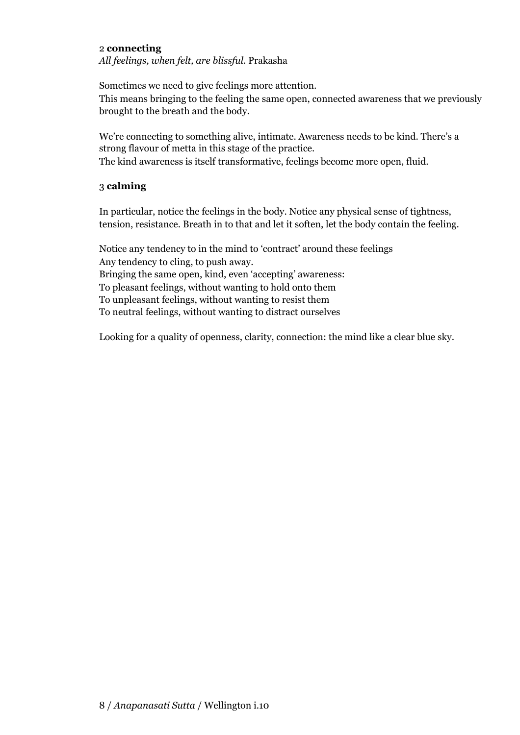#### 2 **connecting**

*All feelings, when felt, are blissful.* Prakasha

Sometimes we need to give feelings more attention. This means bringing to the feeling the same open, connected awareness that we previously brought to the breath and the body.

We're connecting to something alive, intimate. Awareness needs to be kind. There's a strong flavour of metta in this stage of the practice.

The kind awareness is itself transformative, feelings become more open, fluid.

### 3 **calming**

In particular, notice the feelings in the body. Notice any physical sense of tightness, tension, resistance. Breath in to that and let it soften, let the body contain the feeling.

Notice any tendency to in the mind to 'contract' around these feelings Any tendency to cling, to push away. Bringing the same open, kind, even 'accepting' awareness: To pleasant feelings, without wanting to hold onto them To unpleasant feelings, without wanting to resist them To neutral feelings, without wanting to distract ourselves

Looking for a quality of openness, clarity, connection: the mind like a clear blue sky.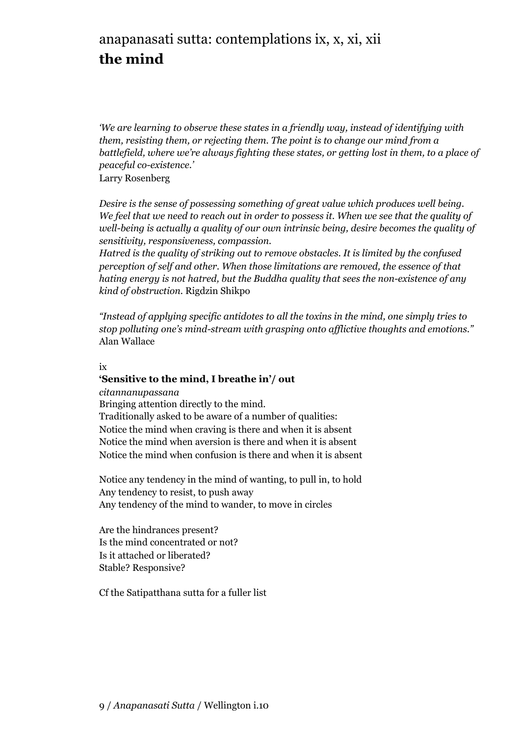# anapanasati sutta: contemplations ix, x, xi, xii **the mind**

*'We are learning to observe these states in a friendly way, instead of identifying with them, resisting them, or rejecting them. The point is to change our mind from a battlefield, where we're always fighting these states, or getting lost in them, to a place of peaceful co-existence.'*

Larry Rosenberg

*Desire is the sense of possessing something of great value which produces well being. We feel that we need to reach out in order to possess it. When we see that the quality of well-being is actually a quality of our own intrinsic being, desire becomes the quality of sensitivity, responsiveness, compassion.*

*Hatred is the quality of striking out to remove obstacles. It is limited by the confused perception of self and other. When those limitations are removed, the essence of that hating energy is not hatred, but the Buddha quality that sees the non-existence of any kind of obstruction.* Rigdzin Shikpo

*"Instead of applying specific antidotes to all the toxins in the mind, one simply tries to stop polluting one's mind-stream with grasping onto afflictive thoughts and emotions."*  Alan Wallace

ix

### **'Sensitive to the mind, I breathe in'/ out**

*citannanupassana*

Bringing attention directly to the mind. Traditionally asked to be aware of a number of qualities: Notice the mind when craving is there and when it is absent Notice the mind when aversion is there and when it is absent Notice the mind when confusion is there and when it is absent

Notice any tendency in the mind of wanting, to pull in, to hold Any tendency to resist, to push away Any tendency of the mind to wander, to move in circles

Are the hindrances present? Is the mind concentrated or not? Is it attached or liberated? Stable? Responsive?

Cf the Satipatthana sutta for a fuller list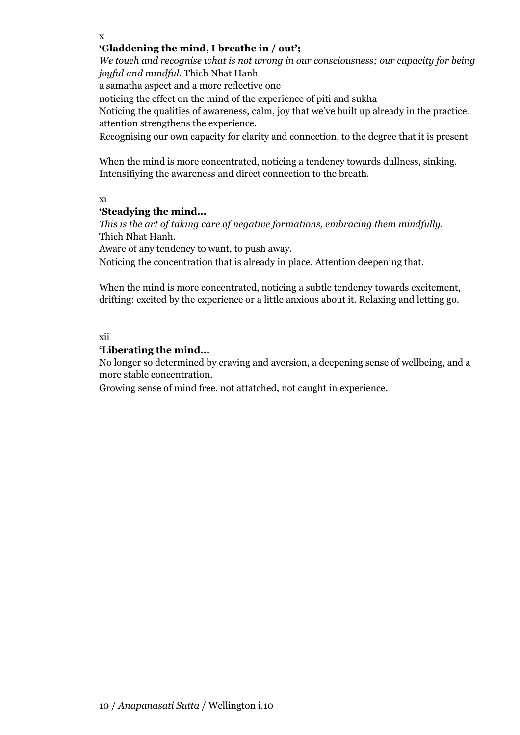x

#### **'Gladdening the mind, I breathe in / out';**

*We touch and recognise what is not wrong in our consciousness; our capacity for being joyful and mindful.* Thich Nhat Hanh

a samatha aspect and a more reflective one

noticing the effect on the mind of the experience of piti and sukha

Noticing the qualities of awareness, calm, joy that we've built up already in the practice. attention strengthens the experience.

Recognising our own capacity for clarity and connection, to the degree that it is present

When the mind is more concentrated, noticing a tendency towards dullness, sinking. Intensifiying the awareness and direct connection to the breath.

xi

### **'Steadying the mind…**

*This is the art of taking care of negative formations, embracing them mindfully.* Thich Nhat Hanh.

Aware of any tendency to want, to push away.

Noticing the concentration that is already in place. Attention deepening that.

When the mind is more concentrated, noticing a subtle tendency towards excitement, drifting: excited by the experience or a little anxious about it. Relaxing and letting go.

#### xii

#### **'Liberating the mind…**

No longer so determined by craving and aversion, a deepening sense of wellbeing, and a more stable concentration.

Growing sense of mind free, not attatched, not caught in experience.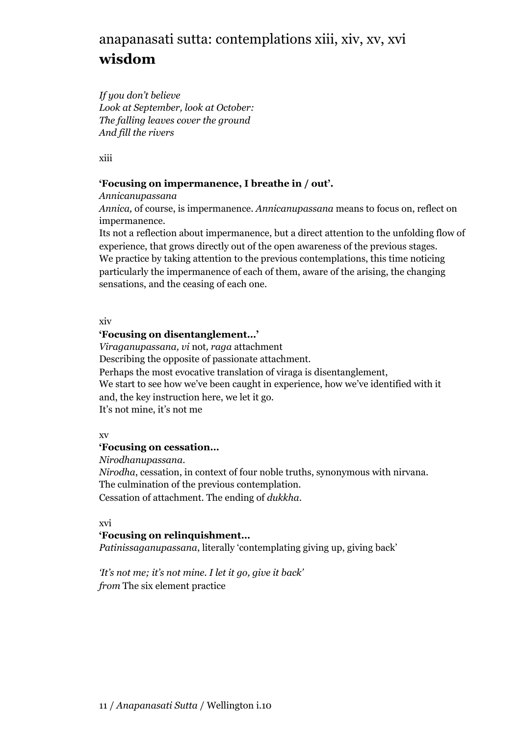# anapanasati sutta: contemplations xiii, xiv, xv, xvi **wisdom**

*If you don't believe Look at September, look at October: The falling leaves cover the ground And fill the rivers*

xiii

### **'Focusing on impermanence, I breathe in / out'.**

*Annicanupassana* 

*Annica,* of course, is impermanence. *Annicanupassana* means to focus on, reflect on impermanence.

Its not a reflection about impermanence, but a direct attention to the unfolding flow of experience, that grows directly out of the open awareness of the previous stages. We practice by taking attention to the previous contemplations, this time noticing particularly the impermanence of each of them, aware of the arising, the changing sensations, and the ceasing of each one.

xiv

### **'Focusing on disentanglement…'**

*Viraganupassana, vi* not*, raga* attachment

Describing the opposite of passionate attachment.

Perhaps the most evocative translation of viraga is disentanglement,

We start to see how we've been caught in experience, how we've identified with it and, the key instruction here, we let it go.

It's not mine, it's not me

#### xv

### **'Focusing on cessation…**

*Nirodhanupassana*.

*Nirodha*, cessation, in context of four noble truths, synonymous with nirvana. The culmination of the previous contemplation.

Cessation of attachment. The ending of *dukkha*.

### xvi

### **'Focusing on relinquishment…**

*Patinissaganupassana*, literally 'contemplating giving up, giving back'

*'It's not me; it's not mine. I let it go, give it back' from* The six element practice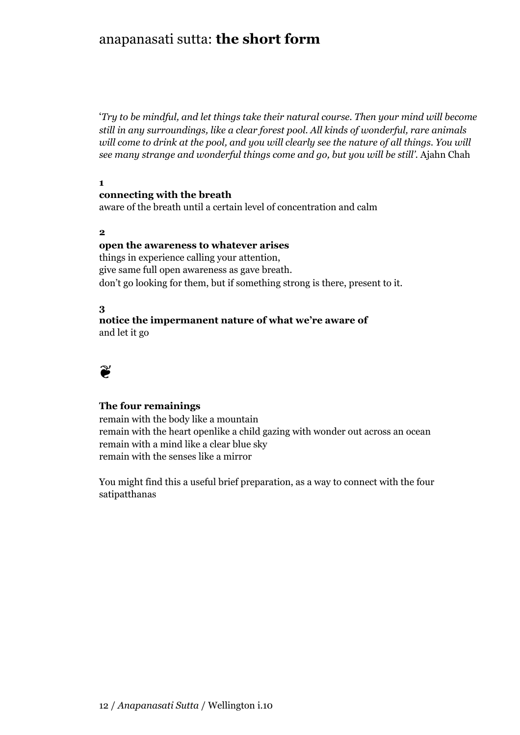## anapanasati sutta: **the short form**

'*Try to be mindful, and let things take their natural course. Then your mind will become still in any surroundings, like a clear forest pool. All kinds of wonderful, rare animals*  will come to drink at the pool, and you will clearly see the nature of all things. You will *see many strange and wonderful things come and go, but you will be still'.* Ajahn Chah

**1**

#### **connecting with the breath**

aware of the breath until a certain level of concentration and calm

**2**

#### **open the awareness to whatever arises**

things in experience calling your attention, give same full open awareness as gave breath. don't go looking for them, but if something strong is there, present to it.

#### **3**

#### **notice the impermanent nature of what we're aware of** and let it go



#### **The four remainings**

remain with the body like a mountain remain with the heart openlike a child gazing with wonder out across an ocean remain with a mind like a clear blue sky remain with the senses like a mirror

You might find this a useful brief preparation, as a way to connect with the four satipatthanas